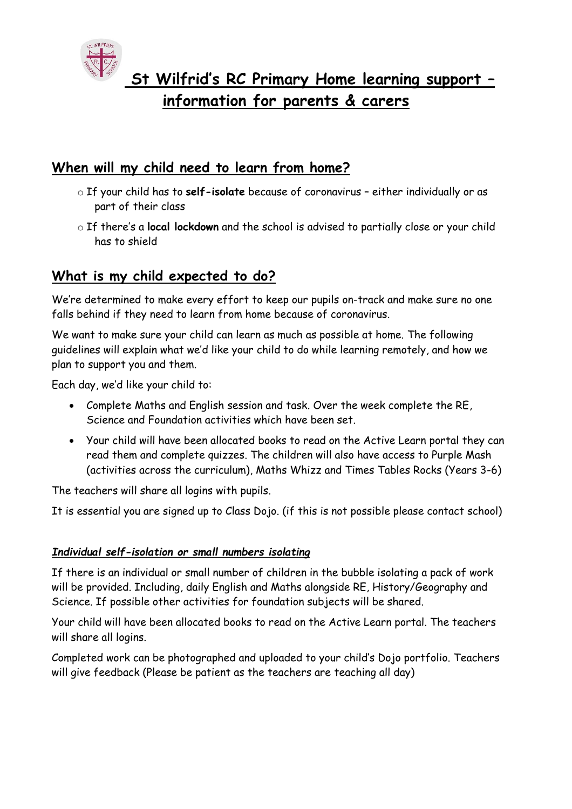

## **When will my child need to learn from home?**

- o If your child has to **self-isolate** because of coronavirus either individually or as part of their class
- o If there's a **local lockdown** and the school is advised to partially close or your child has to shield

# **What is my child expected to do?**

We're determined to make every effort to keep our pupils on-track and make sure no one falls behind if they need to learn from home because of coronavirus.

We want to make sure your child can learn as much as possible at home. The following guidelines will explain what we'd like your child to do while learning remotely, and how we plan to support you and them.

Each day, we'd like your child to:

- Complete Maths and English session and task. Over the week complete the RE, Science and Foundation activities which have been set.
- Your child will have been allocated books to read on the Active Learn portal they can read them and complete quizzes. The children will also have access to Purple Mash (activities across the curriculum), Maths Whizz and Times Tables Rocks (Years 3-6)

The teachers will share all logins with pupils.

It is essential you are signed up to Class Dojo. (if this is not possible please contact school)

### *Individual self-isolation or small numbers isolating*

If there is an individual or small number of children in the bubble isolating a pack of work will be provided. Including, daily English and Maths alongside RE, History/Geography and Science. If possible other activities for foundation subjects will be shared.

Your child will have been allocated books to read on the Active Learn portal. The teachers will share all logins.

Completed work can be photographed and uploaded to your child's Dojo portfolio. Teachers will give feedback (Please be patient as the teachers are teaching all day)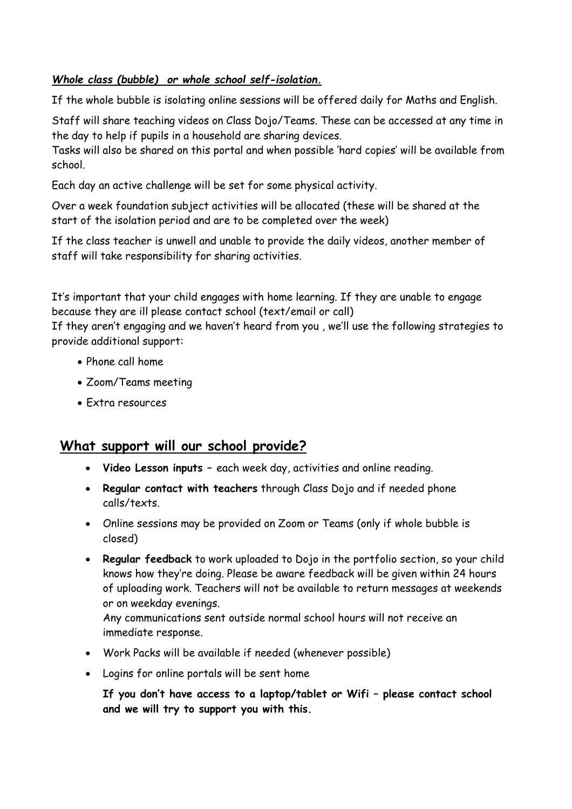#### *Whole class (bubble) or whole school self-isolation.*

If the whole bubble is isolating online sessions will be offered daily for Maths and English.

Staff will share teaching videos on Class Dojo/Teams. These can be accessed at any time in the day to help if pupils in a household are sharing devices.

Tasks will also be shared on this portal and when possible 'hard copies' will be available from school.

Each day an active challenge will be set for some physical activity.

Over a week foundation subject activities will be allocated (these will be shared at the start of the isolation period and are to be completed over the week)

If the class teacher is unwell and unable to provide the daily videos, another member of staff will take responsibility for sharing activities.

It's important that your child engages with home learning. If they are unable to engage because they are ill please contact school (text/email or call)

If they aren't engaging and we haven't heard from you , we'll use the following strategies to provide additional support:

- Phone call home
- Zoom/Teams meeting
- Extra resources

### **What support will our school provide?**

- **Video Lesson inputs –** each week day, activities and online reading.
- **Regular contact with teachers** through Class Dojo and if needed phone calls/texts.
- Online sessions may be provided on Zoom or Teams (only if whole bubble is closed)
- **Regular feedback** to work uploaded to Dojo in the portfolio section, so your child knows how they're doing. Please be aware feedback will be given within 24 hours of uploading work. Teachers will not be available to return messages at weekends or on weekday evenings.

Any communications sent outside normal school hours will not receive an immediate response.

- Work Packs will be available if needed (whenever possible)
- Logins for online portals will be sent home

**If you don't have access to a laptop/tablet or Wifi – please contact school and we will try to support you with this.**